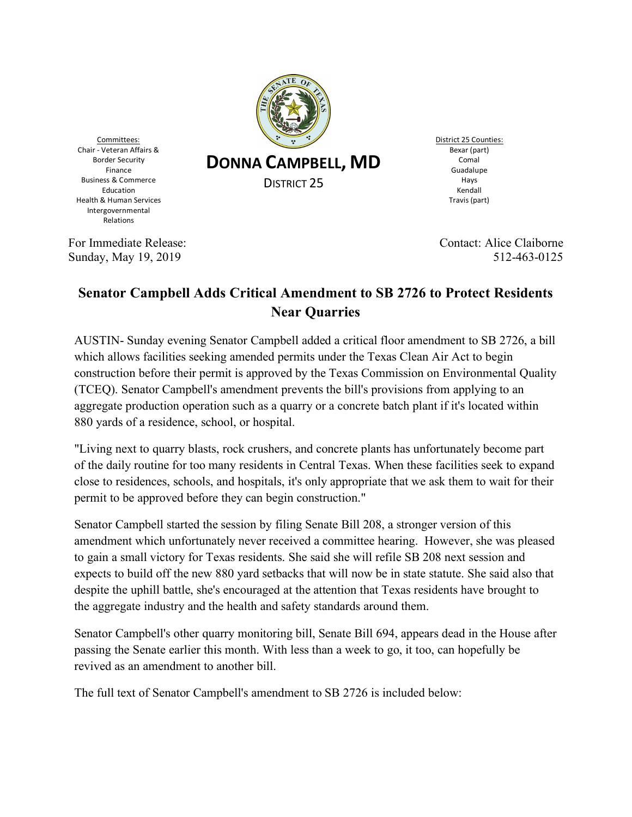

Committees: Chair - Veteran Affairs & Border Security Finance Business & Commerce Education Health & Human Services Intergovernmental Relations

**DONNA CAMPBELL, MD**

DISTRICT 25

District 25 Counties: Bexar (part) Comal Guadalupe Hays Kendall Travis (part)

For Immediate Release: Contact: Alice Claiborne Sunday, May 19, 2019 512-463-0125

## **Senator Campbell Adds Critical Amendment to SB 2726 to Protect Residents Near Quarries**

AUSTIN- Sunday evening Senator Campbell added a critical floor amendment to SB 2726, a bill which allows facilities seeking amended permits under the Texas Clean Air Act to begin construction before their permit is approved by the Texas Commission on Environmental Quality (TCEQ). Senator Campbell's amendment prevents the bill's provisions from applying to an aggregate production operation such as a quarry or a concrete batch plant if it's located within 880 yards of a residence, school, or hospital.

"Living next to quarry blasts, rock crushers, and concrete plants has unfortunately become part of the daily routine for too many residents in Central Texas. When these facilities seek to expand close to residences, schools, and hospitals, it's only appropriate that we ask them to wait for their permit to be approved before they can begin construction."

Senator Campbell started the session by filing Senate Bill 208, a stronger version of this amendment which unfortunately never received a committee hearing. However, she was pleased to gain a small victory for Texas residents. She said she will refile SB 208 next session and expects to build off the new 880 yard setbacks that will now be in state statute. She said also that despite the uphill battle, she's encouraged at the attention that Texas residents have brought to the aggregate industry and the health and safety standards around them.

Senator Campbell's other quarry monitoring bill, Senate Bill 694, appears dead in the House after passing the Senate earlier this month. With less than a week to go, it too, can hopefully be revived as an amendment to another bill.

The full text of Senator Campbell's amendment to SB 2726 is included below: